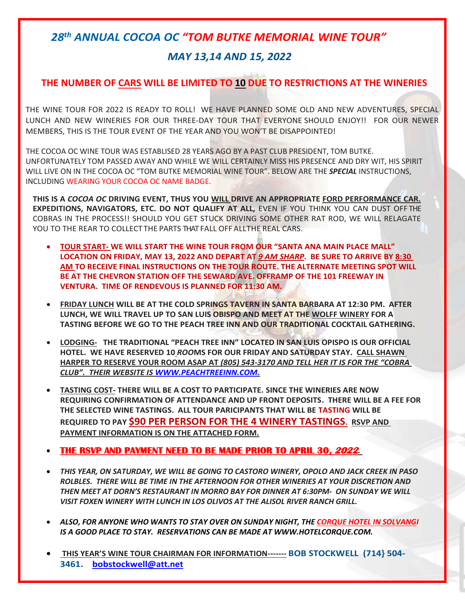# *28 th ANNUAL COCOA OC "TOM BUTKE MEMORIAL WINE TOUR"*

## *MAY 13,14 AND 15, 2022*

### **THE NUMBER OF CARS WILL BE LIMITED TO 10 DUE TO RESTRICTIONS AT THE WINERIES**

THE WINE TOUR FOR 2022 IS READY TO ROLL! WE HAVE PLANNED SOME OLD AND NEW ADVENTURES, SPECIAL LUNCH AND NEW WINERIES FOR OUR THREE-DAY TOUR THAT EVERYONE SHOULD ENJOY!! FOR OUR NEWER MEMBERS, THIS IS THE TOUR EVENT OF THE YEAR AND YOU WON'T BE DISAPPOINTED!

THE COCOA OC WINE TOUR WAS ESTABLISED 28 YEARS AGO BY A PAST CLUB PRESIDENT, TOM BUTKE. UNFORTUNATELY TOM PASSED AWAY AND WHILE WE WILL CERTAINLY MISS HIS PRESENCE AND DRY WIT, HIS SPIRIT WILL LIVE ON IN THE COCOA OC "TOM BUTKE MEMORIAL WINE TOUR". BELOW ARE THE *SPECIAL* INSTRUCTIONS, INCLUDING WEARING YOUR COCOA OC NAME BADGE.

**THIS IS A** *COCOA OC* **DRIVING EVENT, THUS YOU WILL DRIVE AN APPROPRIATE FORD PERFORMANCE CAR. EXPEDITIONS, NAVIGATORS, ETC. DO NOT QUALIFY AT ALL,** EVEN IF YOU THINK YOU CAN DUST OFF THE COBRAS IN THE PROCESS!! SHOULD YOU GET STUCK DRIVING SOME OTHER RAT ROD, WE WILL RELAGATE YOU TO THE REAR TO COLLECT THE PARTS THAT FALL OFF ALLTHE REAL CARS.

- **TOUR START- WE WILL START THE WINE TOUR FROM OUR "SANTA ANA MAIN PLACE MALL" LOCATION ON FRIDAY, MAY 13, 2022 AND DEPART AT** *9 AM SHARP***. BE SURE TO ARRIVE BY 8:30 AM TO RECEIVE FINAL INSTRUCTIONS ON THE TOUR ROUTE. THE ALTERNATE MEETING SPOT WILL BE AT THE CHEVRON STATION OFF THE SEWARD AVE. OFFRAMP OF THE 101 FREEWAY IN VENTURA. TIME OF RENDEVOUS IS PLANNED FOR 11:30 AM.**
- **FRIDAY LUNCH WILL BE AT THE COLD SPRINGS TAVERN IN SANTA BARBARA AT 12:30 PM. AFTER LUNCH, WE WILL TRAVEL UP TO SAN LUIS OBISPO AND MEET AT THE WOLFF WINERY FOR A TASTING BEFORE WE GO TO THE PEACH TREE INN AND OUR TRADITIONAL COCKTAIL GATHERING.**
- **LODGING- THE TRADITIONAL "PEACH TREE INN" LOCATED IN SAN LUIS OPISPO IS OUR OFFICIAL HOTEL. WE HAVE RESERVED 10** *ROO***MS FOR OUR FRIDAY AND SATURDAY STAY. CALL SHAWN HARPER TO RESERVE YOUR ROOM ASAP AT** *(805) 543-3170 AND TELL HER IT IS FOR THE "COBRA CLUB". THEIR WEBSITE IS [WWW.PEACHTREEINN.COM.](http://www.peachtreeinn.com/)*
- **TASTING COST- THERE WILL BE A COST TO PARTICIPATE. SINCE THE WINERIES ARE NOW REQUIRING CONFIRMATION OF ATTENDANCE AND UP FRONT DEPOSITS. THERE WILL BE A FEE FOR THE SELECTED WINE TASTINGS. ALL TOUR PARICIPANTS THAT WILL BE TASTING WILL BE REQUIRED TO PAY \$90 PER PERSON FOR THE 4 WINERY TASTINGS. RSVP AND PAYMENT INFORMATION IS ON THE ATTACHED FORM.**

#### **THE RSVP AND PAYMENT NEED TO BE MADE PRIOR TO APRIL 30, 2022***.*

- *THIS YEAR, ON SATURDAY, WE WILL BE GOING TO CASTORO WINERY, OPOLO AND JACK CREEK IN PASO ROLBLES. THERE WILL BE TIME IN THE AFTERNOON FOR OTHER WINERIES AT YOUR DISCRETION AND THEN MEET AT DORN'S RESTAURANT IN MORRO BAY FOR DINNER AT 6:30PM- ON SUNDAY WE WILL VISIT FOXEN WINERY WITH LUNCH IN LOS OLIVOS AT THE ALISOL RIVER RANCH GRILL.*
- *ALSO, FOR ANYONE WHO WANTS TO STAY OVER ON SUNDAY NIGHT, THE CORQUE HOTEL IN SOLVANGI IS A GOOD PLACE TO STAY. RESERVATIONS CAN BE MADE AT WWW.HOTELCORQUE.COM.*
- **THIS YEAR'S WINE TOUR CHAIRMAN FOR INFORMATION------- BOB STOCKWELL (714} 504- 3461. [bobstockwell@att.net](mailto:bobstockwell@att.net)**